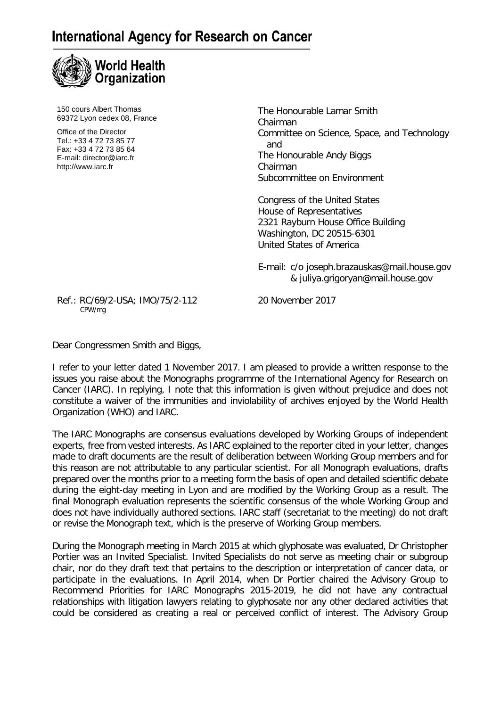## **International Agency for Research on Cancer**



150 cours Albert Thomas 69372 Lyon cedex 08, France

Office of the Director Tel.: +33 4 72 73 85 77 Fax: +33 4 72 73 85 64 E-mail: director@iarc.fr http://www.iarc.fr

The Honourable Lamar Smith Chairman Committee on Science, Space, and Technology and The Honourable Andy Biggs Chairman Subcommittee on Environment

Congress of the United States House of Representatives 2321 Rayburn House Office Building Washington, DC 20515-6301 United States of America

E-mail: c/o [joseph.brazauskas@mail.house.gov](mailto:Joseph.Brazauskas@mail.house.gov) & juliya.grigoryan@mail.house.gov

Ref.: RC/69/2-USA; IMO/75/2-112 20 November 2017<br>CPW/mg

Dear Congressmen Smith and Biggs,

I refer to your letter dated 1 November 2017. I am pleased to provide a written response to the issues you raise about the Monographs programme of the International Agency for Research on Cancer (IARC). In replying, I note that this information is given without prejudice and does not constitute a waiver of the immunities and inviolability of archives enjoyed by the World Health Organization (WHO) and IARC.

The IARC Monographs are consensus evaluations developed by Working Groups of independent experts, free from vested interests. As IARC explained to the reporter cited in your letter, changes made to draft documents are the result of deliberation between Working Group members and for this reason are not attributable to any particular scientist. For all Monograph evaluations, drafts prepared over the months prior to a meeting form the basis of open and detailed scientific debate during the eight-day meeting in Lyon and are modified by the Working Group as a result. The final Monograph evaluation represents the scientific consensus of the whole Working Group and does not have individually authored sections. IARC staff (secretariat to the meeting) do not draft or revise the Monograph text, which is the preserve of Working Group members.

During the Monograph meeting in March 2015 at which glyphosate was evaluated, Dr Christopher Portier was an Invited Specialist. Invited Specialists do not serve as meeting chair or subgroup chair, nor do they draft text that pertains to the description or interpretation of cancer data, or participate in the evaluations. In April 2014, when Dr Portier chaired the Advisory Group to Recommend Priorities for IARC Monographs 2015-2019, he did not have any contractual relationships with litigation lawyers relating to glyphosate nor any other declared activities that could be considered as creating a real or perceived conflict of interest. The Advisory Group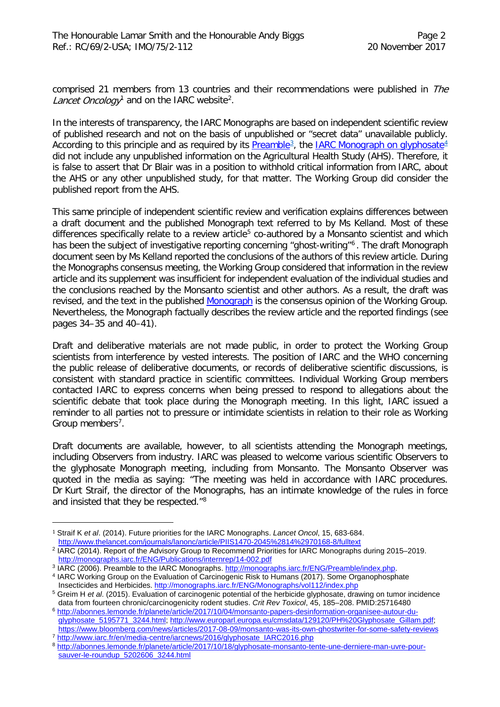comprised 21 members from 13 countries and their recommendations were published in The L*ancet Oncology*<sup>[1](#page-1-0)</sup> and on the IARC website<sup>[2](#page-1-1)</sup>.

In the interests of transparency, the IARC Monographs are based on independent scientific review of published research and not on the basis of unpublished or "secret data" unavailable publicly. According to this principle and as required by its <u>Preamble<sup>[3](#page-1-2)</sup>,</u> the <u>IARC Monograph on glyphosate<sup>[4](#page-1-3)</sup></u> did not include any unpublished information on the Agricultural Health Study (AHS). Therefore, it is false to assert that Dr Blair was in a position to withhold critical information from IARC, about the AHS or any other unpublished study, for that matter. The Working Group did consider the published report from the AHS.

This same principle of independent scientific review and verification explains differences between a draft document and the published Monograph text referred to by Ms Kelland. Most of these differences specifically relate to a review article<sup>5</sup> co-authored by a Monsanto scientist and which has been the subject of investigative reporting concerning "ghost-writing"<sup>6</sup>. The draft Monograph document seen by Ms Kelland reported the conclusions of the authors of this review article. During the Monographs consensus meeting, the Working Group considered that information in the review article and its supplement was insufficient for independent evaluation of the individual studies and the conclusions reached by the Monsanto scientist and other authors. As a result, the draft was revised, and the text in the published [Monograph](http://monographs.iarc.fr/ENG/Monographs/vol112/mono112-10.pdf) is the consensus opinion of the Working Group. Nevertheless, the Monograph factually describes the review article and the reported findings (see pages 34–35 and 40–41).

Draft and deliberative materials are not made public, in order to protect the Working Group scientists from interference by vested interests. The position of IARC and the WHO concerning the public release of deliberative documents, or records of deliberative scientific discussions, is consistent with standard practice in scientific committees. Individual Working Group members contacted IARC to express concerns when being pressed to respond to allegations about the scientific debate that took place during the Monograph meeting. In this light, IARC issued a reminder to all parties not to pressure or intimidate scientists in relation to their role as Working Group members<sup>[7](#page-1-6)</sup>.

Draft documents are available, however, to all scientists attending the Monograph meetings, including Observers from industry. IARC was pleased to welcome various scientific Observers to the glyphosate Monograph meeting, including from Monsanto. The Monsanto Observer was quoted in the media as saying: "The meeting was held in accordance with IARC procedures. Dr Kurt Straif, the director of the Monographs, has an intimate knowledge of the rules in force and insisted that they be respected."[8](#page-1-7)

I

<span id="page-1-0"></span><sup>1</sup> Straif K *et al*. (2014). Future priorities for the IARC Monographs. *Lancet Oncol*, 15, 683-684. <http://www.thelancet.com/journals/lanonc/article/PIIS1470-2045%2814%2970168-8/fulltext>

<sup>&</sup>lt;sup>2</sup> IARC (2014). Report of the Advisory Group to Recommend Priorities for IARC Monographs during 2015–2019.

<span id="page-1-1"></span><http://monographs.iarc.fr/ENG/Publications/internrep/14-002.pdf><br>3 IARC (2006). Preamble to the IARC Monographs. http://monographs.iarc.fr/ENG/Preamble/index.php.

<span id="page-1-3"></span><span id="page-1-2"></span><sup>&</sup>lt;sup>4</sup> IARC Working Group on the Evaluation of Carcinogenic Risk to Humans (2017). Some Organophosphate Insecticides and Herbicides. <http://monographs.iarc.fr/ENG/Monographs/vol112/index.php>

<span id="page-1-4"></span><sup>5</sup> Greim H *et al*. (2015). Evaluation of carcinogenic potential of the herbicide glyphosate, drawing on tumor incidence data from fourteen chronic/carcinogenicity rodent studies. *Crit Rev Toxicol*, 45, 185–208. PMID:25716480

<span id="page-1-5"></span><sup>6</sup> [http://abonnes.lemonde.fr/planete/article/2017/10/04/monsanto-papers-desinformation-organisee-autour-du](http://abonnes.lemonde.fr/planete/article/2017/10/04/monsanto-papers-desinformation-organisee-autour-du-glyphosate_5195771_3244.html)[glyphosate\\_5195771\\_3244.html;](http://abonnes.lemonde.fr/planete/article/2017/10/04/monsanto-papers-desinformation-organisee-autour-du-glyphosate_5195771_3244.html) [http://www.europarl.europa.eu/cmsdata/129120/PH%20Glyphosate\\_Gillam.pdf;](http://www.europarl.europa.eu/cmsdata/129120/PH%20Glyphosate_Gillam.pdf) <https://www.bloomberg.com/news/articles/2017-08-09/monsanto-was-its-own-ghostwriter-for-some-safety-reviews> <sup>7</sup> [http://www.iarc.fr/en/media-centre/iarcnews/2016/glyphosate\\_IARC2016.php](http://www.iarc.fr/en/media-centre/iarcnews/2016/glyphosate_IARC2016.php)

<span id="page-1-7"></span><span id="page-1-6"></span><sup>8</sup> [http://abonnes.lemonde.fr/planete/article/2017/10/18/glyphosate-monsanto-tente-une-derniere-man-uvre-pour](http://abonnes.lemonde.fr/planete/article/2017/10/18/glyphosate-monsanto-tente-une-derniere-man-uvre-pour-sauver-le-roundup_5202606_3244.html)[sauver-le-roundup\\_5202606\\_3244.html](http://abonnes.lemonde.fr/planete/article/2017/10/18/glyphosate-monsanto-tente-une-derniere-man-uvre-pour-sauver-le-roundup_5202606_3244.html)